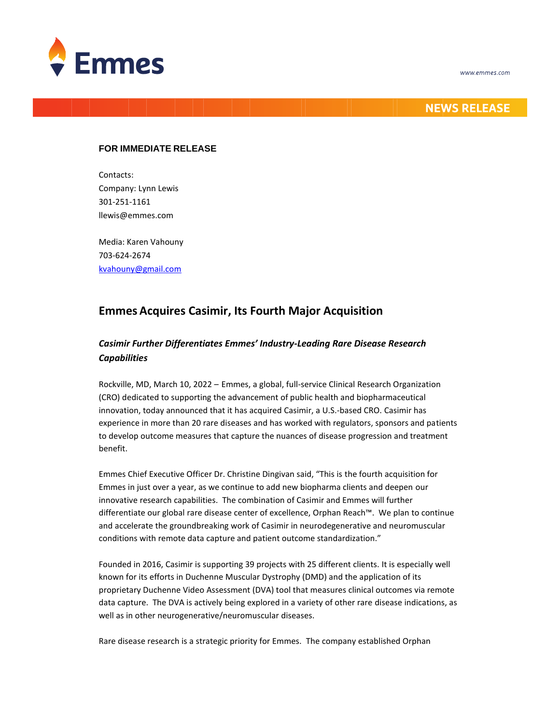



### **NEWS RELEASE**

### **FOR IMMEDIATE RELEASE**

Contacts: Company: Lynn Lewis 301-251-1161 llewis@emmes.com

Media: Karen Vahouny 703-624-2674 [kvahouny@gmail.com](mailto:kvahouny@gmail.com)

# **Emmes Acquires Casimir, Its Fourth Major Acquisition**

## *Casimir Further Differentiates Emmes' Industry-Leading Rare Disease Research Capabilities*

Rockville, MD, March 10, 2022 – Emmes, a global, full-service Clinical Research Organization (CRO) dedicated to supporting the advancement of public health and biopharmaceutical innovation, today announced that it has acquired Casimir, a U.S.-based CRO. Casimir has experience in more than 20 rare diseases and has worked with regulators, sponsors and patients to develop outcome measures that capture the nuances of disease progression and treatment benefit.

Emmes Chief Executive Officer Dr. Christine Dingivan said, "This is the fourth acquisition for Emmes in just over a year, as we continue to add new biopharma clients and deepen our innovative research capabilities. The combination of Casimir and Emmes will further differentiate our global rare disease center of excellence, Orphan Reach™. We plan to continue and accelerate the groundbreaking work of Casimir in neurodegenerative and neuromuscular conditions with remote data capture and patient outcome standardization."

Founded in 2016, Casimir is supporting 39 projects with 25 different clients. It is especially well known for its efforts in Duchenne Muscular Dystrophy (DMD) and the application of its proprietary Duchenne Video Assessment (DVA) tool that measures clinical outcomes via remote data capture. The DVA is actively being explored in a variety of other rare disease indications, as well as in other neurogenerative/neuromuscular diseases.

Rare disease research is a strategic priority for Emmes. The company established Orphan